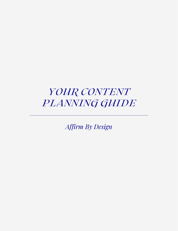### *YOUR CONTENT PLANNING GUIDE*

*Affirm By Design*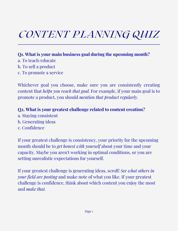# *CONTENT PLANNING QUIZ*

**Q1. What is your main business goal during the upcoming month?** a. To teach/educate b. To sell a product c. To promote a service

Whichever goal you choose, make sure you are consistently creating content that *helps you reach that goal.* For example, if your main goal is to promote a product, you should *mention that product regularly.*

**Q2. What is your greatest challenge related to content creation?**

- a. Staying consistent
- b. Generating ideas
- c. Confidence

If your greatest challenge is consistency, your priority for the upcoming month should be to *get honest with yourself* about your time and your capacity. Maybe you aren't working in optimal conditions, or you are setting unrealistic expectations for yourself.

If your greatest challenge is generating ideas, scroll! *See what others in your field are posting* and make note of what you like. If your greatest challenge is confidence, think about which content you enjoy the most and *make that.*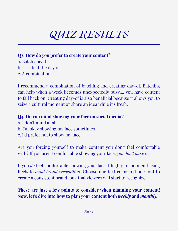# *QUIZ RESULTS*

#### **Q3. How do you prefer to create your content?**

a. Batch ahead b. Create it the day of c. A combination!

I recommend a combination of batching and creating day-of. Batching can help when a week becomes unexpectedly busy.... you have content to fall back on! Creating day-of is also beneficial because it allows you to seize a cultural moment or share an idea while it's fresh.

#### **Q4. Do you mind showing your face on social media?**

a. I don't mind at all! b. I'm okay showing my face sometimes c. I'd prefer not to show my face

Are you forcing yourself to make content you don't feel comfortable with? If you aren't comfortable showing your face, *you don't have to.*

If you *do* feel comfortable showing your face, I highly recommend using Reels to *build brand recognition.* Choose one text color and one font to create a consistent brand look that viewers will start to recognize!

#### **These are just a few points to consider when planning your content! Now, let's dive into how to plan your content both** *weekly* **and** *monthly.*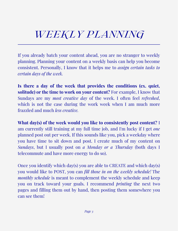## *WEEKLY PLANNING*

If you already batch your content ahead, you are no stranger to weekly planning. Planning your content on a weekly basis can help you become consistent. Personally, I know that it helps me to *assign certain tasks to certain days of the week.*

**Is there a day of the week that provides the conditions (ex. quiet, solitude) or the time to work on your content?** For example, I know that Sundays are my *most creative day* of the week. I often feel *refreshed*, which is not the case during the work week when I am much more frazzled and much *less creative.*

**What day(s) of the week would you like to consistently post content?** I am currently still training at my full time job, and I'm lucky if I get *one* planned post out per week. If this sounds like you, pick a weekday where you have time to sit down and post. I create much of my content on *Sundays*, but I usually post on *a Monday or a Thursday* (both days I telecommute and have more energy to do so).

Once you identify which day(s) you are able to CREATE and which day(s) you would like to POST, you can *fill those in on the weekly schedule!* The *monthly schedule* is meant to complement the weekly schedule and keep you on track toward your goals. I recommend *printing* the next two pages and filling them out by hand, then posting them somewhere you can see them!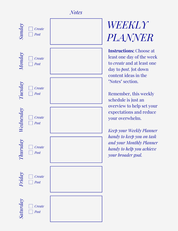#### *No tes*



# **WEEKLY** *PLA NNER*

**Instructions:** Choose at least one day of the week to *create* and at least one day to *post*. Jot down content ideas in the "Notes" section. *l. WEEKL*<br>*PLANNI*<br>*mstructions:* Cho<br>least one day of th<br>to *create* and at least one day to foot. Jot dov<br>content ideas in tl<br>"Notes" section.<br>Remember, this w<br>schedule is just ar<br>overview to help s<br>expectations and y

Remember, this weekly schedule is just an overview to help set your expectations and reduce your overwhelm.

*Keep your Weekly Pla n n e r h a n dy to k e ep y o u o n ta s k and your Monthly Planner handy to help you achieve y o u r b ro a de r go a*